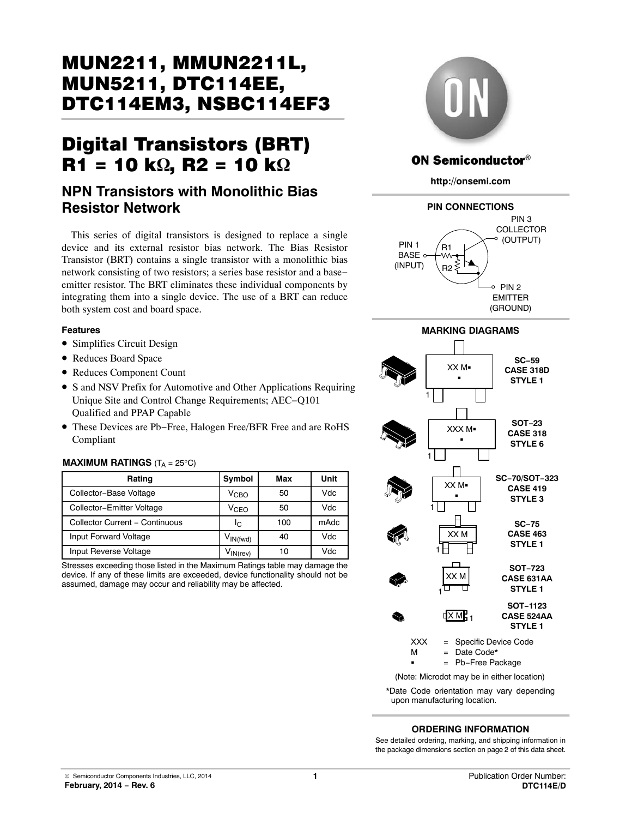# MUN2211, MMUN2211L, DTC114EM3, NSBC114EF3 DTC114EM3, NSBC114EF3

# $\mathbf{R1} = 10 \, \mathbf{k}\Omega$ ,  $\mathbf{R2} = 10 \, \mathbf{k}\Omega$

# **NPN Transistors with Monolithic Bias Resistor Network**

This series of digital transistors is designed to replace a single device and its external resistor bias network. The Bias Resistor Transistor (BRT) contains a single transistor with a monolithic bias network consisting of two resistors; a series base resistor and a base− emitter resistor. The BRT eliminates these individual components by integrating them into a single device. The use of a BRT can reduce both system cost and board space.

#### **Features**

- Simplifies Circuit Design
- Reduces Board Space
- Reduces Component Count
- S and NSV Prefix for Automotive and Other Applications Requiring Unique Site and Control Change Requirements; AEC−Q101 Qualified and PPAP Capable
- These Devices are Pb−Free, Halogen Free/BFR Free and are RoHS Compliant

#### **MAXIMUM RATINGS**  $(T_A = 25^{\circ}C)$

| Rating                         | Symbol                          | Max | Unit |
|--------------------------------|---------------------------------|-----|------|
| Collector-Base Voltage         | V <sub>CBO</sub>                | 50  | Vdc  |
| Collector-Emitter Voltage      | V <sub>CFO</sub>                | 50  | Vdc  |
| Collector Current - Continuous | Ιc                              | 100 | mAdc |
| Input Forward Voltage          | $V_{IN(fwd)}$                   | 40  | Vdc  |
| Input Reverse Voltage          | $V_{\mathsf{IN}(\mathsf{rev})}$ | 10  | Vdc  |

Stresses exceeding those listed in the Maximum Ratings table may damage the device. If any of these limits are exceeded, device functionality should not be assumed, damage may occur and reliability may be affected.



#### **ON Semiconductor®**

**http://onsemi.com**





(Note: Microdot may be in either location)

\*Date Code orientation may vary depending upon manufacturing location.

#### **ORDERING INFORMATION**

See detailed ordering, marking, and shipping information in the package dimensions section on page [2](#page-1-0) of this data sheet.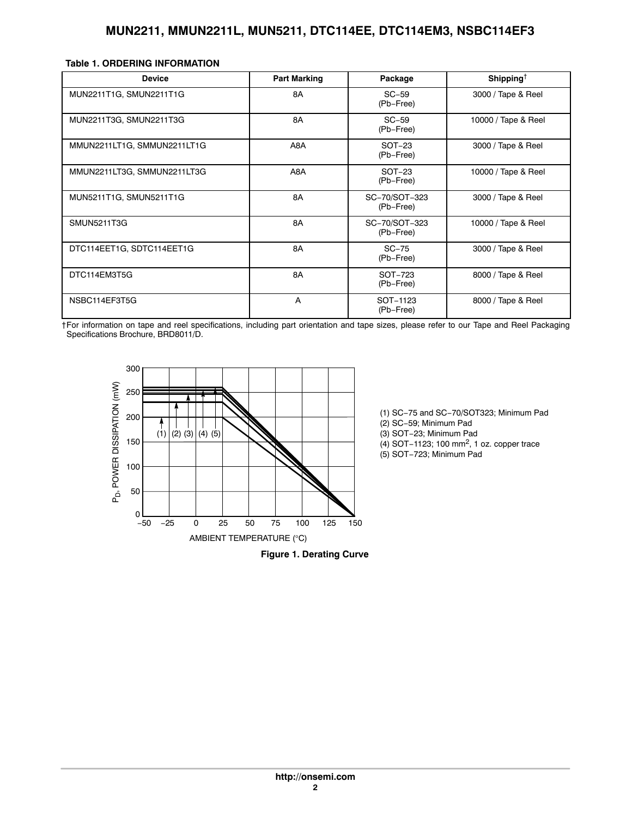<span id="page-1-0"></span>

|  |  | Table 1. ORDERING INFORMATION |  |
|--|--|-------------------------------|--|
|  |  |                               |  |

| <b>Device</b>               | <b>Part Marking</b> | Package                    | Shipping <sup><math>\dagger</math></sup> |
|-----------------------------|---------------------|----------------------------|------------------------------------------|
| MUN2211T1G, SMUN2211T1G     | 8A                  | $SC-59$<br>(Pb-Free)       | 3000 / Tape & Reel                       |
| MUN2211T3G, SMUN2211T3G     | 8A                  | $SC-59$<br>(Pb-Free)       | 10000 / Tape & Reel                      |
| MMUN2211LT1G, SMMUN2211LT1G | A8A                 | $SOT-23$<br>(Pb-Free)      | 3000 / Tape & Reel                       |
| MMUN2211LT3G, SMMUN2211LT3G | A8A                 | $SOT-23$<br>(Pb-Free)      | 10000 / Tape & Reel                      |
| MUN5211T1G, SMUN5211T1G     | 8A                  | SC-70/SOT-323<br>(Pb-Free) | 3000 / Tape & Reel                       |
| <b>SMUN5211T3G</b>          | 8A                  | SC-70/SOT-323<br>(Pb-Free) | 10000 / Tape & Reel                      |
| DTC114EET1G, SDTC114EET1G   | 8A                  | $SC-75$<br>(Pb-Free)       | 3000 / Tape & Reel                       |
| DTC114EM3T5G                | 8A                  | SOT-723<br>(Pb-Free)       | 8000 / Tape & Reel                       |
| NSBC114EF3T5G               | A                   | SOT-1123<br>(Pb-Free)      | 8000 / Tape & Reel                       |

†For information on tape and reel specifications, including part orientation and tape sizes, please refer to our Tape and Reel Packaging Specifications Brochure, BRD8011/D.





(1) SC−75 and SC−70/SOT323; Minimum Pad (2) SC−59; Minimum Pad

(3) SOT−23; Minimum Pad

(4) SOT−1123; 100 mm2, 1 oz. copper trace

(5) SOT−723; Minimum Pad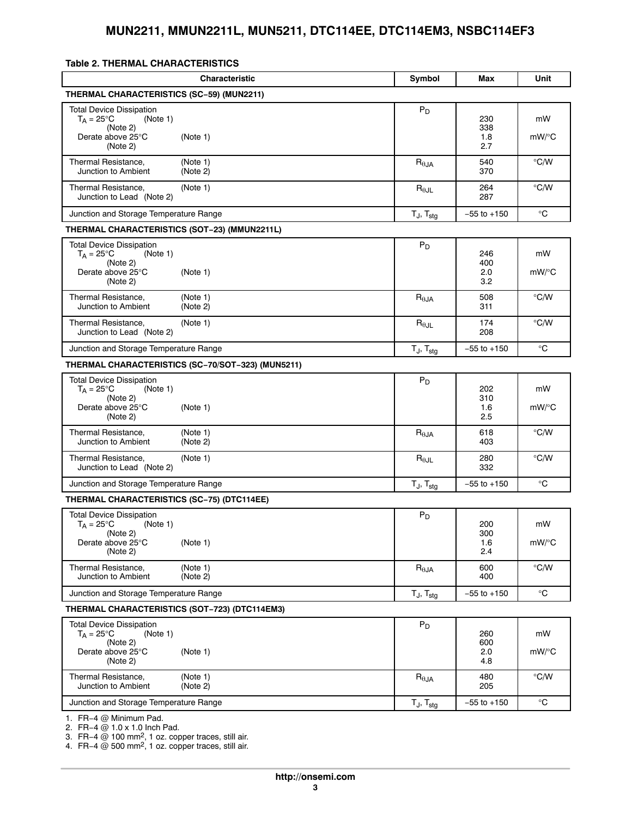#### <span id="page-2-0"></span>**Table 2. THERMAL CHARACTERISTICS**

|                                                                                                     | <b>Characteristic</b>                             | Symbol                   | Max                      | Unit           |
|-----------------------------------------------------------------------------------------------------|---------------------------------------------------|--------------------------|--------------------------|----------------|
| THERMAL CHARACTERISTICS (SC-59) (MUN2211)                                                           |                                                   |                          |                          |                |
| <b>Total Device Dissipation</b><br>$T_A = 25^{\circ}C$<br>(Note 1)<br>(Note 2)<br>Derate above 25°C | (Note 1)                                          | $P_D$                    | 230<br>338<br>1.8        | mW<br>$mW$ /°C |
| (Note 2)                                                                                            |                                                   |                          | 2.7                      | $\degree$ C/W  |
| Thermal Resistance,<br>Junction to Ambient                                                          | (Note 1)<br>(Note 2)                              | $R_{\theta$ JA           | 540<br>370               |                |
| Thermal Resistance,<br>Junction to Lead (Note 2)                                                    | (Note 1)                                          | $R_{\theta \text{JL}}$   | 264<br>287               | $\degree$ C/W  |
| Junction and Storage Temperature Range                                                              |                                                   | $T_J$ , $T_{stg}$        | $-55$ to $+150$          | °C             |
| THERMAL CHARACTERISTICS (SOT-23) (MMUN2211L)                                                        |                                                   |                          |                          |                |
| <b>Total Device Dissipation</b><br>$T_A = 25^{\circ}C$<br>(Note 1)<br>(Note 2)<br>Derate above 25°C | (Note 1)                                          | $P_D$                    | 246<br>400<br>2.0        | mW<br>$mW$ /°C |
| (Note 2)<br>Thermal Resistance,<br>Junction to Ambient                                              | (Note 1)<br>(Note 2)                              | $R_{\theta JA}$          | 3.2<br>508<br>311        | $\degree$ C/W  |
| Thermal Resistance.<br>Junction to Lead (Note 2)                                                    | (Note 1)                                          | $R_{\theta$ JL           | 174<br>208               | $\degree$ C/W  |
| Junction and Storage Temperature Range                                                              |                                                   | $T_J$ , $T_{stg}$        | $-55$ to $+150$          | °C             |
|                                                                                                     | THERMAL CHARACTERISTICS (SC-70/SOT-323) (MUN5211) |                          |                          |                |
| <b>Total Device Dissipation</b><br>$T_A = 25^{\circ}$ C<br>(Note 1)<br>(Note 2)                     |                                                   | $P_D$                    | 202<br>310               | mW             |
| Derate above 25°C<br>(Note 2)                                                                       | (Note 1)                                          |                          | 1.6<br>2.5               | $mW$ /°C       |
| Thermal Resistance,<br>Junction to Ambient                                                          | (Note 1)<br>(Note 2)                              | $R_{\theta JA}$          | 618<br>403               | $\degree$ C/W  |
| Thermal Resistance,<br>Junction to Lead (Note 2)                                                    | (Note 1)                                          | $R_{\theta$ JL           | 280<br>332               | $\degree$ C/W  |
| Junction and Storage Temperature Range                                                              |                                                   | $T_J$ , $T_{stg}$        | $-55$ to $+150$          | °C             |
| <b>THERMAL CHARACTERISTICS (SC-75) (DTC114EE)</b>                                                   |                                                   |                          |                          |                |
| <b>Total Device Dissipation</b><br>$T_A = 25^{\circ}C$<br>(Note 1)<br>(Note 2)<br>Derate above 25°C | (Note 1)                                          | $P_D$                    | 200<br>300<br>1.6        | mW<br>mW/°C    |
| (Note 2)<br>Thermal Resistance,<br>Junction to Ambient                                              | (Note 1)<br>(Note 2)                              | $R_{\theta$ JA           | 2.4<br>600<br>400        | $\degree$ C/W  |
| Junction and Storage Temperature Range                                                              |                                                   | $T_J$ , $T_{\text{stg}}$ | $-55$ to $+150$          | °C             |
| THERMAL CHARACTERISTICS (SOT-723) (DTC114EM3)                                                       |                                                   |                          |                          |                |
| <b>Total Device Dissipation</b><br>(Note 1)<br>$T_A = 25^{\circ}C$<br>(Note 2)<br>Derate above 25°C | (Note 1)                                          | $P_D$                    | 260<br>600<br>2.0<br>4.8 | mW<br>$mW$ /°C |
| (Note 2)<br>Thermal Resistance,<br>Junction to Ambient                                              | (Note 1)<br>(Note 2)                              | $R_{\theta$ JA           | 480<br>205               | $\degree$ C/W  |
| Junction and Storage Temperature Range                                                              |                                                   | $T_J$ , $T_{\text{stg}}$ | $-55$ to $+150$          | °C             |
| 1. FR-4 @ Minimum Pad.                                                                              |                                                   |                          |                          |                |

[2](#page-3-0). FR−4 @ 1.0 x 1.0 Inch Pad.

[3](#page-3-0). FR−4 @ 100 mm<sup>2</sup>, 1 oz. copper traces, still air.

[4](#page-3-0). FR−4 @ 500 mm2, 1 oz. copper traces, still air.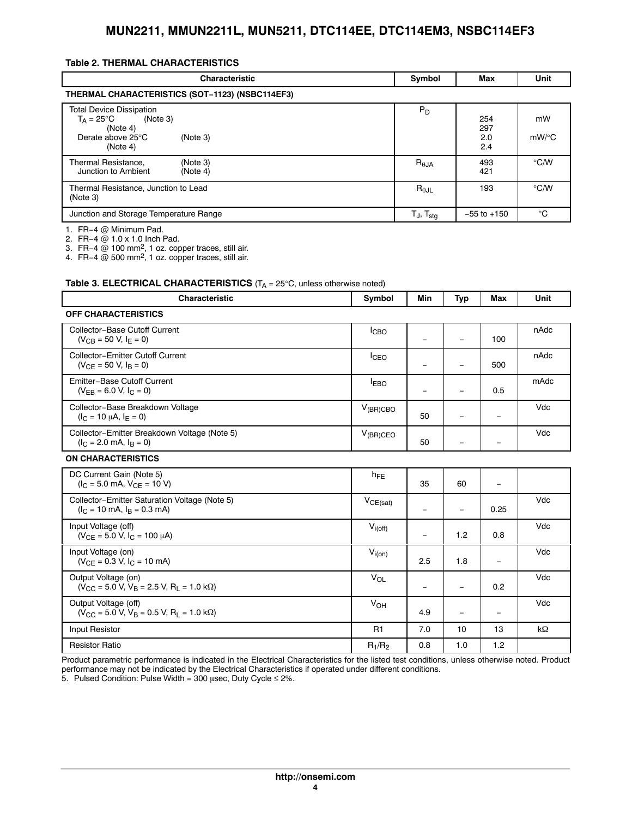#### <span id="page-3-0"></span>**Table [2.](#page-2-0) THERMAL CHARACTERISTICS**

| <b>Characteristic</b>                                                                                                       | Symbol                     | Max                      | Unit          |
|-----------------------------------------------------------------------------------------------------------------------------|----------------------------|--------------------------|---------------|
| THERMAL CHARACTERISTICS (SOT-1123) (NSBC114EF3)                                                                             |                            |                          |               |
| <b>Total Device Dissipation</b><br>$T_A = 25^{\circ}C$<br>(Note 3)<br>(Note 4)<br>Derate above 25°C<br>(Note 3)<br>(Note 4) | $P_D$                      | 254<br>297<br>2.0<br>2.4 | mW<br>mW/°C   |
| Thermal Resistance,<br>(Note 3)<br>Junction to Ambient<br>(Note 4)                                                          | $R_{\theta,IA}$            | 493<br>421               | $\degree$ C/W |
| Thermal Resistance, Junction to Lead<br>(Note 3)                                                                            | $R_{\theta$ JL             | 193                      | $\degree$ C/W |
| Junction and Storage Temperature Range                                                                                      | $T_{J}$ , $T_{\text{stg}}$ | $-55$ to $+150$          | $^{\circ}C$   |

1. FR−4 @ Minimum Pad.

2. FR-4 @ 1.0 x 1.0 Inch Pad.

3. FR-4  $@$  100 mm<sup>2</sup>, 1 oz. copper traces, still air.

4. FR−4  $@$  500 mm<sup>2</sup>, 1 oz. copper traces, still air.

#### **Table 3. ELECTRICAL CHARACTERISTICS** (T<sub>A</sub> = 25°C, unless otherwise noted)

| <b>Characteristic</b>                                                                          | Symbol                | Min                      | <b>Typ</b>               | <b>Max</b>               | Unit      |
|------------------------------------------------------------------------------------------------|-----------------------|--------------------------|--------------------------|--------------------------|-----------|
| <b>OFF CHARACTERISTICS</b>                                                                     |                       |                          |                          |                          |           |
| Collector-Base Cutoff Current<br>$(V_{CR} = 50 V, I_F = 0)$                                    | I <sub>CBO</sub>      | $\overline{\phantom{0}}$ | $\overline{\phantom{0}}$ | 100                      | nAdc      |
| <b>Collector-Emitter Cutoff Current</b><br>$(V_{CF} = 50 V, IB = 0)$                           | I <sub>CEO</sub>      | -                        |                          | 500                      | nAdc      |
| Emitter-Base Cutoff Current<br>$(V_{FR} = 6.0 V, I_C = 0)$                                     | <b>IEBO</b>           | $\qquad \qquad -$        | $\overline{\phantom{a}}$ | 0.5                      | mAdc      |
| Collector-Base Breakdown Voltage<br>$(I_C = 10 \mu A, I_F = 0)$                                | $V_{(BR)CBO}$         | 50                       |                          | $\overline{\phantom{m}}$ | Vdc       |
| Collector-Emitter Breakdown Voltage (Note 5)<br>$(I_C = 2.0$ mA, $I_R = 0$ )                   | $V_{(BR)CEO}$         | 50                       |                          |                          | Vdc       |
| <b>ON CHARACTERISTICS</b>                                                                      |                       |                          |                          |                          |           |
| DC Current Gain (Note 5)<br>$(I_C = 5.0$ mA, $V_{CF} = 10$ V)                                  | $h_{FE}$              | 35                       | 60                       | $\overline{\phantom{m}}$ |           |
| Collector-Emitter Saturation Voltage (Note 5)<br>$(I_C = 10 \text{ mA}, I_B = 0.3 \text{ mA})$ | $V_{CE(sat)}$         | $\qquad \qquad -$        | $\overline{\phantom{m}}$ | 0.25                     | Vdc       |
| Input Voltage (off)<br>$(V_{CE} = 5.0 V, I_C = 100 \mu A)$                                     | $V_{i(off)}$          | $\overline{\phantom{m}}$ | 1.2                      | 0.8                      | Vdc       |
| Input Voltage (on)<br>$(V_{CF} = 0.3 V, I_{C} = 10$ mA)                                        | $V_{i(0n)}$           | 2.5                      | 1.8                      | $\overline{\phantom{m}}$ | Vdc       |
| Output Voltage (on)<br>$(V_{\rm CC} = 5.0 V, V_{\rm B} = 2.5 V, R_{\rm I} = 1.0 k\Omega)$      | $V_{\Omega}$          | $\overline{\phantom{m}}$ | $\overline{\phantom{a}}$ | 0.2                      | Vdc       |
| Output Voltage (off)<br>$(V_{CC} = 5.0 V, V_B = 0.5 V, R_L = 1.0 k\Omega)$                     | <b>V<sub>OH</sub></b> | 4.9                      | $\overline{\phantom{m}}$ | $\overline{\phantom{m}}$ | Vdc       |
| Input Resistor                                                                                 | R <sub>1</sub>        | 7.0                      | 10                       | 13                       | $k\Omega$ |
| <b>Resistor Ratio</b>                                                                          | $R_1/R_2$             | 0.8                      | 1.0                      | 1.2                      |           |

Product parametric performance is indicated in the Electrical Characteristics for the listed test conditions, unless otherwise noted. Product performance may not be indicated by the Electrical Characteristics if operated under different conditions.

5. Pulsed Condition: Pulse Width = 300  $\mu$ sec, Duty Cycle  $\leq$  2%.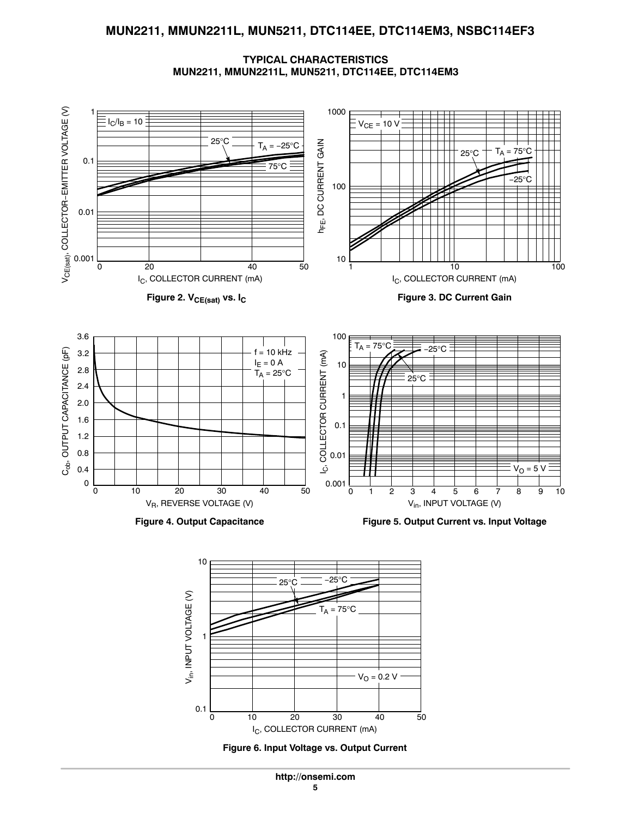**TYPICAL CHARACTERISTICS MUN2211, MMUN2211L, MUN5211, DTC114EE, DTC114EM3**





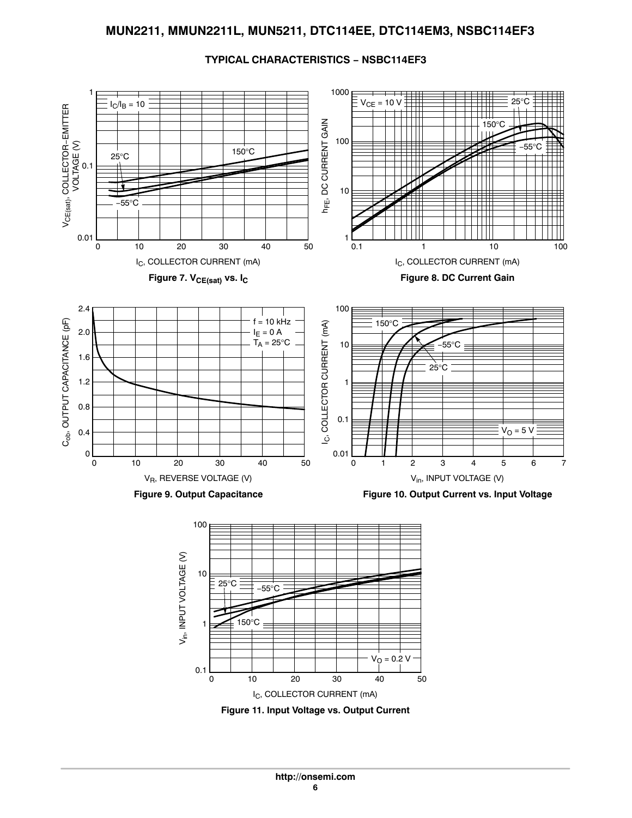

#### **TYPICAL CHARACTERISTICS − NSBC114EF3**

**Figure 11. Input Voltage vs. Output Current** I<sub>C</sub>, COLLECTOR CURRENT (mA) 0 10 20 30 40 50

 $V_{O} = 0.2 V$ 

0.1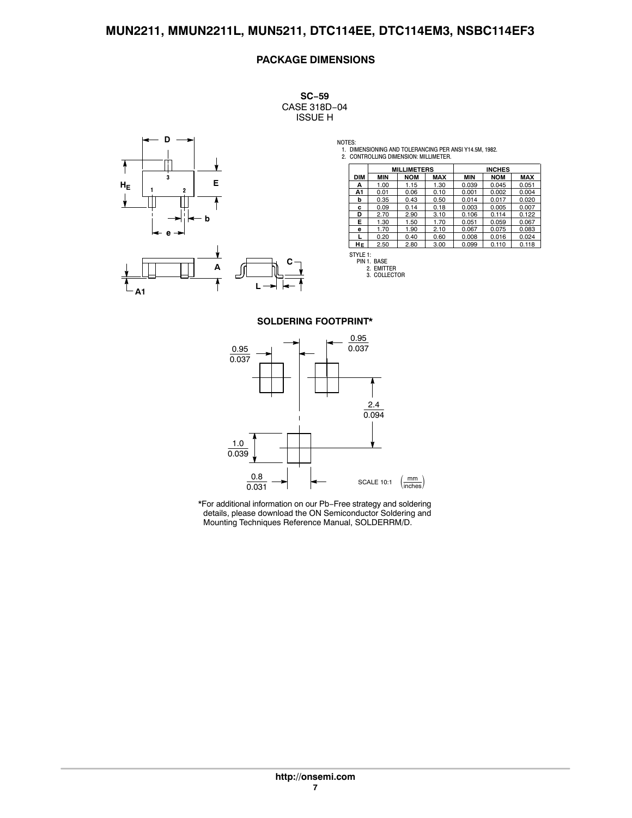#### **PACKAGE DIMENSIONS**

**SC−59** CASE 318D−04 ISSUE H



NOTES: 1. DIMENSIONING AND TOLERANCING PER ANSI Y14.5M, 1982. 2. CONTROLLING DIMENSION: MILLIMETER.

|            | <b>MILLIMETERS</b> |            | <b>INCHES</b> |            |            |            |
|------------|--------------------|------------|---------------|------------|------------|------------|
| <b>DIM</b> | <b>MIN</b>         | <b>NOM</b> | <b>MAX</b>    | <b>MIN</b> | <b>NOM</b> | <b>MAX</b> |
| А          | 1.00               | 1.15       | 1.30          | 0.039      | 0.045      | 0.051      |
| A1         | 0.01               | 0.06       | 0.10          | 0.001      | 0.002      | 0.004      |
| b          | 0.35               | 0.43       | 0.50          | 0.014      | 0.017      | 0.020      |
| c          | 0.09               | 0.14       | 0.18          | 0.003      | 0.005      | 0.007      |
| D          | 2.70               | 2.90       | 3.10          | 0.106      | 0.114      | 0.122      |
| E.         | 1.30               | 1.50       | 1.70          | 0.051      | 0.059      | 0.067      |
| е          | 1.70               | 1.90       | 2.10          | 0.067      | 0.075      | 0.083      |
|            | 0.20               | 0.40       | 0.60          | 0.008      | 0.016      | 0.024      |
| HЕ         | 2.50               | 2.80       | 3.00          | 0.099      | 0.110      | 0.118      |

STYLE 1: PIN 1. BASE 2. EMITTER 3. COLLECTOR

#### **SOLDERING FOOTPRINT\***

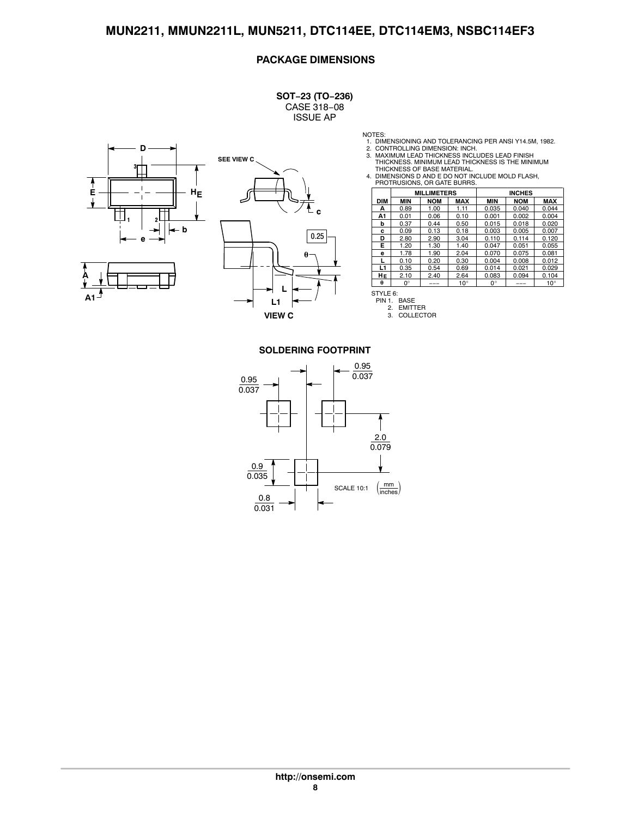#### **PACKAGE DIMENSIONS**

**SOT−23 (TO−236)** CASE 318−08 ISSUE AP





NOTES:

- 1. DIMENSIONING AND TOLERANCING PER ANSI Y14.5M, 1982.<br>2. CONTROLLING DIMENSION: INCH.<br>3. MAXIMUM LEAD THICKNESS INCLUDES LEAD FINISH<br>THICKNESS. MINIMUM LEAD THICKNESS IS THE MINIMUM
- 
- THICKNESS OF BASE MATERIAL. 4. DIMENSIONS D AND E DO NOT INCLUDE MOLD FLASH, PROTRUSIONS, OR GATE BURRS.

|            | <b>MILLIMETERS</b> |            | <b>INCHES</b> |       |            |              |
|------------|--------------------|------------|---------------|-------|------------|--------------|
| <b>DIM</b> | MIN                | <b>NOM</b> | <b>MAX</b>    | MIN   | <b>NOM</b> | <b>MAX</b>   |
| А          | 0.89               | 1.00       | 1.11          | 0.035 | 0.040      | 0.044        |
| A1         | 0.01               | 0.06       | 0.10          | 0.001 | 0.002      | 0.004        |
| b          | 0.37               | 0.44       | 0.50          | 0.015 | 0.018      | 0.020        |
| c          | 0.09               | 0.13       | 0.18          | 0.003 | 0.005      | 0.007        |
| D          | 2.80               | 2.90       | 3.04          | 0.110 | 0.114      | 0.120        |
| Е          | 1.20               | 1.30       | 1.40          | 0.047 | 0.051      | 0.055        |
| e          | 1.78               | 1.90       | 2.04          | 0.070 | 0.075      | 0.081        |
|            | 0.10               | 0.20       | 0.30          | 0.004 | 0.008      | 0.012        |
| L1         | 0.35               | 0.54       | 0.69          | 0.014 | 0.021      | 0.029        |
| HЕ         | 2.10               | 2.40       | 2.64          | 0.083 | 0.094      | 0.104        |
| $\theta$   | 0°                 | ---        | $10^{\circ}$  | ٥°    | ---        | $10^{\circ}$ |

STYLE 6: PIN 1. BASE 2. EMITTER 3. COLLECTOR

#### **SOLDERING FOOTPRINT**

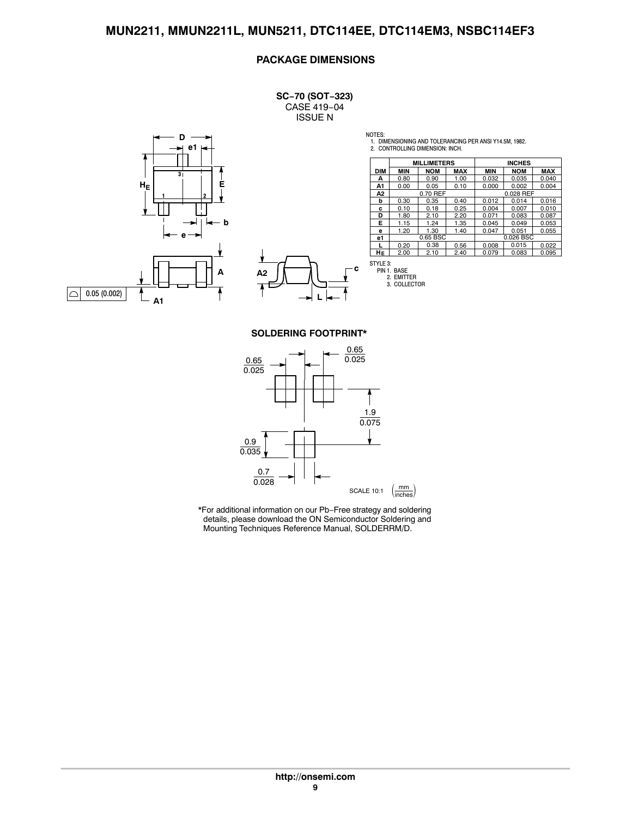#### **PACKAGE DIMENSIONS**

**SC−70 (SOT−323)** CASE 419−04 ISSUE N



**c L**

NOTES: 1. DIMENSIONING AND TOLERANCING PER ANSI Y14.5M, 1982. 2. CONTROLLING DIMENSION: INCH.

|            |            | <b>MILLIMETERS</b> |            |            | <b>INCHES</b> |            |
|------------|------------|--------------------|------------|------------|---------------|------------|
| <b>DIM</b> | <b>MIN</b> | <b>NOM</b>         | <b>MAX</b> | <b>MIN</b> | <b>NOM</b>    | <b>MAX</b> |
| А          | 0.80       | 0.90               | 1.00       | 0.032      | 0.035         | 0.040      |
| A1         | 0.00       | 0.05               | 0.10       | 0.000      | 0.002         | 0.004      |
| Α2         |            | 0.70 REF           |            |            | 0.028 REF     |            |
| b          | 0.30       | 0.35               | 0.40       | 0.012      | 0.014         | 0.016      |
| c          | 0.10       | 0.18               | 0.25       | 0.004      | 0.007         | 0.010      |
| D          | 1.80       | 2.10               | 2.20       | 0.071      | 0.083         | 0.087      |
| Е          | 1.15       | 1.24               | 1.35       | 0.045      | 0.049         | 0.053      |
| е          | 1.20       | 1.30               | 1.40       | 0.047      | 0.051         | 0.055      |
| e1         |            | 0.65 BSC           |            |            | 0.026 BSC     |            |
|            | 0.20       | 0.38               | 0.56       | 0.008      | 0.015         | 0.022      |
| HЕ         | 2.00       | 2.10               | 2.40       | 0.079      | 0.083         | 0.095      |

STYLE 3: PIN 1. BASE 2. EMITTER 3. COLLECTOR

**SOLDERING FOOTPRINT\***

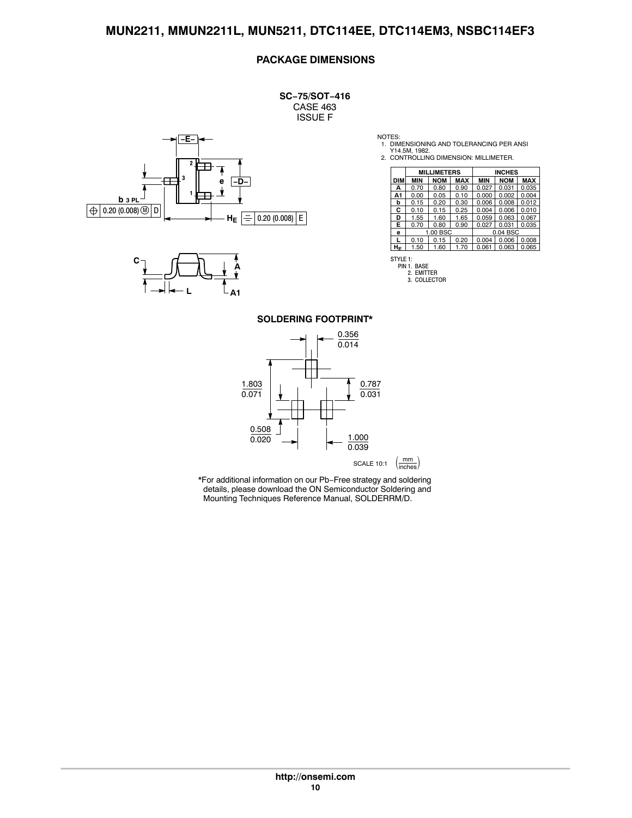#### **PACKAGE DIMENSIONS**

**SC−75/SOT−416** CASE 463 ISSUE F





NOTES:

1. DIMENSIONING AND TOLERANCING PER ANSI Y14.5M, 1982. 2. CONTROLLING DIMENSION: MILLIMETER.

|     |            | <b>MILLIMETERS</b> |            |            | <b>INCHES</b> |            |
|-----|------------|--------------------|------------|------------|---------------|------------|
| DIM | <b>MIN</b> | <b>NOM</b>         | <b>MAX</b> | <b>MIN</b> | <b>NOM</b>    | <b>MAX</b> |
| А   | 0.70       | 0.80               | 0.90       | 0.027      | 0.031         | 0.035      |
| A1  | 0.00       | 0.05               | 0.10       | 0.000      | 0.002         | 0.004      |
| b   | 0.15       | 0.20               | 0.30       | 0.006      | 0.008         | 0.012      |
| С   | 0.10       | 0.15               | 0.25       | 0.004      | 0.006         | 0.010      |
| D   | 1.55       | 1.60               | 1.65       | 0.059      | 0.063         | 0.067      |
| Е   | 0.70       | 0.80               | 0.90       | 0.027      | 0.031         | 0.035      |
| е   |            | 1.00 BSC           |            |            | 0.04 BSC      |            |
|     | 0.10       | 0.15               | 0.20       | 0.004      | 0.006         | 0.008      |
| HЕ  | 1.50       | 1.60               | 1.70       | 0.061      | 0.063         | 0.065      |



2. EMITTER 3. COLLECTOR

**SOLDERING FOOTPRINT\***

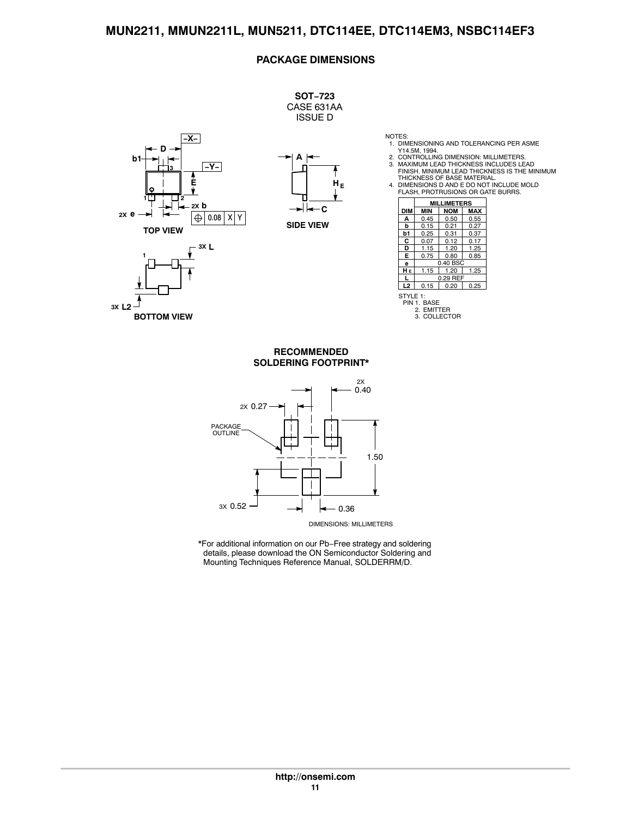#### **PACKAGE DIMENSIONS**



**3X L2**

**BOTTOM VIEW**

- 
- 
- NOTES:<br>1. DIMENSIONING AND TOLERANCING PER ASME<br>2. CONTROLLING DIMENSION: MILLIMETERS.<br>3. MAXIMUM LEAD THICKNESS INCLUDES LEAD<br>FINISH. MINIMUM LEAD THICKNESS IS THE MINIMUM<br>THICKNESS OF BASE MATERIAL.



|                | IMETERS                                   |            |            |
|----------------|-------------------------------------------|------------|------------|
| <b>DIM</b>     | MIN                                       | <b>NOM</b> | <b>MAX</b> |
| А              | 0.45                                      | 0.50       | 0.55       |
| b              | 0.15                                      | 0.21       | 0.27       |
| b1             | 0.25                                      | 0.31       | 0.37       |
| С              | 0.07                                      | 0.12       | 0.17       |
| D              | 1.15                                      | 1.20       | 1.25       |
| Е              | 0.75                                      | 0.80       | 0.85       |
| e              |                                           | 0.40 BSC   |            |
| HЕ             | 1.15                                      | 1.20       | 1.25       |
|                |                                           | 0.29 REF   |            |
| L <sub>2</sub> | 0.15                                      | 0.20       | 0.25       |
| STYLE 1:       | PIN 1. BASE<br><b>EMITTER</b><br>2.<br>З. | COLLECTOR  |            |

#### **SOLDERING FOOTPRINT\* RECOMMENDED**



DIMENSIONS: MILLIMETERS